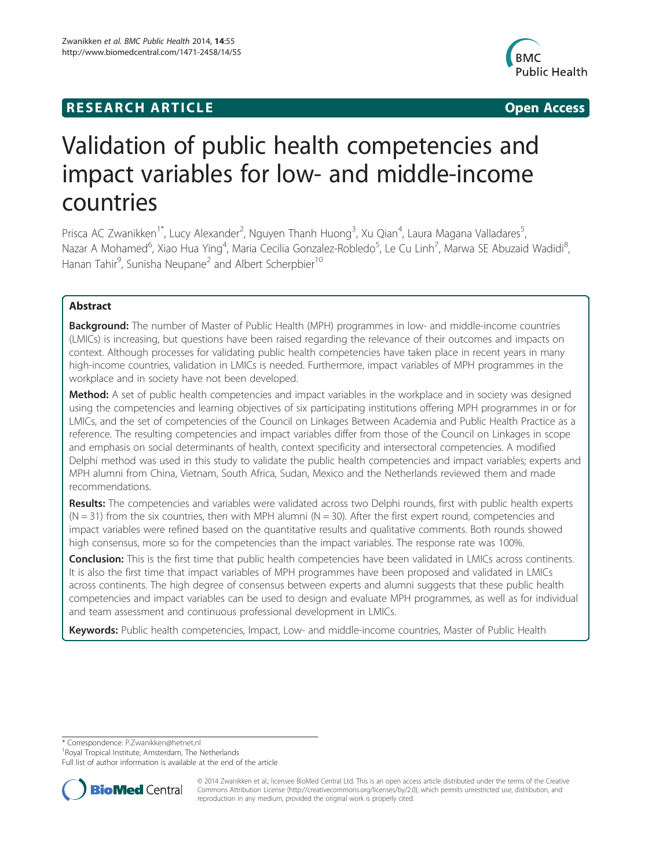## **RESEARCH ARTICLE Example 2008 CONSIDERING CONSIDERING CONSIDERING CONSIDERING CONSIDERING CONSIDERING CONSIDERING CONSIDERING CONSIDERING CONSIDERING CONSIDERING CONSIDERING CONSIDERING CONSIDERING CONSIDERING CONSIDE**



# Validation of public health competencies and impact variables for low- and middle-income countries

Prisca AC Zwanikken<sup>1\*</sup>, Lucy Alexander<sup>2</sup>, Nguyen Thanh Huong<sup>3</sup>, Xu Qian<sup>4</sup>, Laura Magana Valladares<sup>5</sup> , Nazar A Mohamed<sup>6</sup>, Xiao Hua Ying<sup>4</sup>, Maria Cecilia Gonzalez-Robledo<sup>5</sup>, Le Cu Linh<sup>7</sup>, Marwa SE Abuzaid Wadidi<sup>8</sup> , Hanan Tahir<sup>9</sup>, Sunisha Neupane<sup>2</sup> and Albert Scherpbier<sup>10</sup>

## Abstract

Background: The number of Master of Public Health (MPH) programmes in low- and middle-income countries (LMICs) is increasing, but questions have been raised regarding the relevance of their outcomes and impacts on context. Although processes for validating public health competencies have taken place in recent years in many high-income countries, validation in LMICs is needed. Furthermore, impact variables of MPH programmes in the workplace and in society have not been developed.

Method: A set of public health competencies and impact variables in the workplace and in society was designed using the competencies and learning objectives of six participating institutions offering MPH programmes in or for LMICs, and the set of competencies of the Council on Linkages Between Academia and Public Health Practice as a reference. The resulting competencies and impact variables differ from those of the Council on Linkages in scope and emphasis on social determinants of health, context specificity and intersectoral competencies. A modified Delphi method was used in this study to validate the public health competencies and impact variables; experts and MPH alumni from China, Vietnam, South Africa, Sudan, Mexico and the Netherlands reviewed them and made recommendations.

Results: The competencies and variables were validated across two Delphi rounds, first with public health experts  $(N = 31)$  from the six countries, then with MPH alumni  $(N = 30)$ . After the first expert round, competencies and impact variables were refined based on the quantitative results and qualitative comments. Both rounds showed high consensus, more so for the competencies than the impact variables. The response rate was 100%.

Conclusion: This is the first time that public health competencies have been validated in LMICs across continents. It is also the first time that impact variables of MPH programmes have been proposed and validated in LMICs across continents. The high degree of consensus between experts and alumni suggests that these public health competencies and impact variables can be used to design and evaluate MPH programmes, as well as for individual and team assessment and continuous professional development in LMICs.

Keywords: Public health competencies, Impact, Low- and middle-income countries, Master of Public Health

\* Correspondence: [P.Zwanikken@hetnet.nl](mailto:P.Zwanikken@hetnet.nl) <sup>1</sup>

<sup>1</sup> Royal Tropical Institute, Amsterdam, The Netherlands

Full list of author information is available at the end of the article



© 2014 Zwanikken et al.; licensee BioMed Central Ltd. This is an open access article distributed under the terms of the Creative Commons Attribution License [\(http://creativecommons.org/licenses/by/2.0\)](http://creativecommons.org/licenses/by/2.0), which permits unrestricted use, distribution, and reproduction in any medium, provided the original work is properly cited.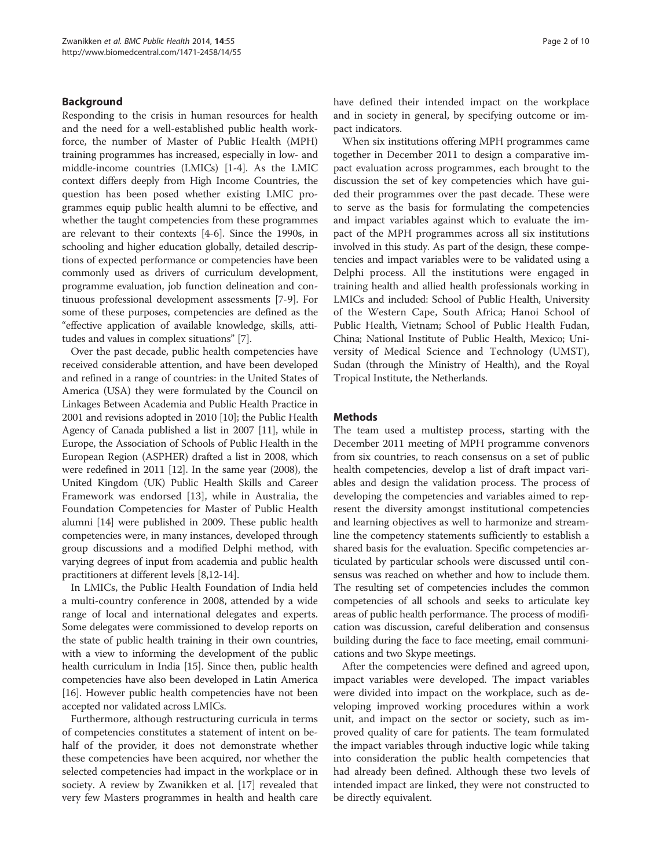#### Background

Responding to the crisis in human resources for health and the need for a well-established public health workforce, the number of Master of Public Health (MPH) training programmes has increased, especially in low- and middle-income countries (LMICs) [\[1-4](#page-8-0)]. As the LMIC context differs deeply from High Income Countries, the question has been posed whether existing LMIC programmes equip public health alumni to be effective, and whether the taught competencies from these programmes are relevant to their contexts [\[4-6](#page-8-0)]. Since the 1990s, in schooling and higher education globally, detailed descriptions of expected performance or competencies have been commonly used as drivers of curriculum development, programme evaluation, job function delineation and continuous professional development assessments [\[7](#page-8-0)-[9](#page-8-0)]. For some of these purposes, competencies are defined as the "effective application of available knowledge, skills, attitudes and values in complex situations" [\[7\]](#page-8-0).

Over the past decade, public health competencies have received considerable attention, and have been developed and refined in a range of countries: in the United States of America (USA) they were formulated by the Council on Linkages Between Academia and Public Health Practice in 2001 and revisions adopted in 2010 [[10](#page-8-0)]; the Public Health Agency of Canada published a list in 2007 [\[11\]](#page-9-0), while in Europe, the Association of Schools of Public Health in the European Region (ASPHER) drafted a list in 2008, which were redefined in 2011 [[12\]](#page-9-0). In the same year (2008), the United Kingdom (UK) Public Health Skills and Career Framework was endorsed [[13\]](#page-9-0), while in Australia, the Foundation Competencies for Master of Public Health alumni [\[14](#page-9-0)] were published in 2009. These public health competencies were, in many instances, developed through group discussions and a modified Delphi method, with varying degrees of input from academia and public health practitioners at different levels [[8](#page-8-0)[,12](#page-9-0)-[14](#page-9-0)].

In LMICs, the Public Health Foundation of India held a multi-country conference in 2008, attended by a wide range of local and international delegates and experts. Some delegates were commissioned to develop reports on the state of public health training in their own countries, with a view to informing the development of the public health curriculum in India [\[15\]](#page-9-0). Since then, public health competencies have also been developed in Latin America [[16](#page-9-0)]. However public health competencies have not been accepted nor validated across LMICs.

Furthermore, although restructuring curricula in terms of competencies constitutes a statement of intent on behalf of the provider, it does not demonstrate whether these competencies have been acquired, nor whether the selected competencies had impact in the workplace or in society. A review by Zwanikken et al. [\[17](#page-9-0)] revealed that very few Masters programmes in health and health care have defined their intended impact on the workplace and in society in general, by specifying outcome or impact indicators.

When six institutions offering MPH programmes came together in December 2011 to design a comparative impact evaluation across programmes, each brought to the discussion the set of key competencies which have guided their programmes over the past decade. These were to serve as the basis for formulating the competencies and impact variables against which to evaluate the impact of the MPH programmes across all six institutions involved in this study. As part of the design, these competencies and impact variables were to be validated using a Delphi process. All the institutions were engaged in training health and allied health professionals working in LMICs and included: School of Public Health, University of the Western Cape, South Africa; Hanoi School of Public Health, Vietnam; School of Public Health Fudan, China; National Institute of Public Health, Mexico; University of Medical Science and Technology (UMST), Sudan (through the Ministry of Health), and the Royal Tropical Institute, the Netherlands.

#### **Methods**

The team used a multistep process, starting with the December 2011 meeting of MPH programme convenors from six countries, to reach consensus on a set of public health competencies, develop a list of draft impact variables and design the validation process. The process of developing the competencies and variables aimed to represent the diversity amongst institutional competencies and learning objectives as well to harmonize and streamline the competency statements sufficiently to establish a shared basis for the evaluation. Specific competencies articulated by particular schools were discussed until consensus was reached on whether and how to include them. The resulting set of competencies includes the common competencies of all schools and seeks to articulate key areas of public health performance. The process of modification was discussion, careful deliberation and consensus building during the face to face meeting, email communications and two Skype meetings.

After the competencies were defined and agreed upon, impact variables were developed. The impact variables were divided into impact on the workplace, such as developing improved working procedures within a work unit, and impact on the sector or society, such as improved quality of care for patients. The team formulated the impact variables through inductive logic while taking into consideration the public health competencies that had already been defined. Although these two levels of intended impact are linked, they were not constructed to be directly equivalent.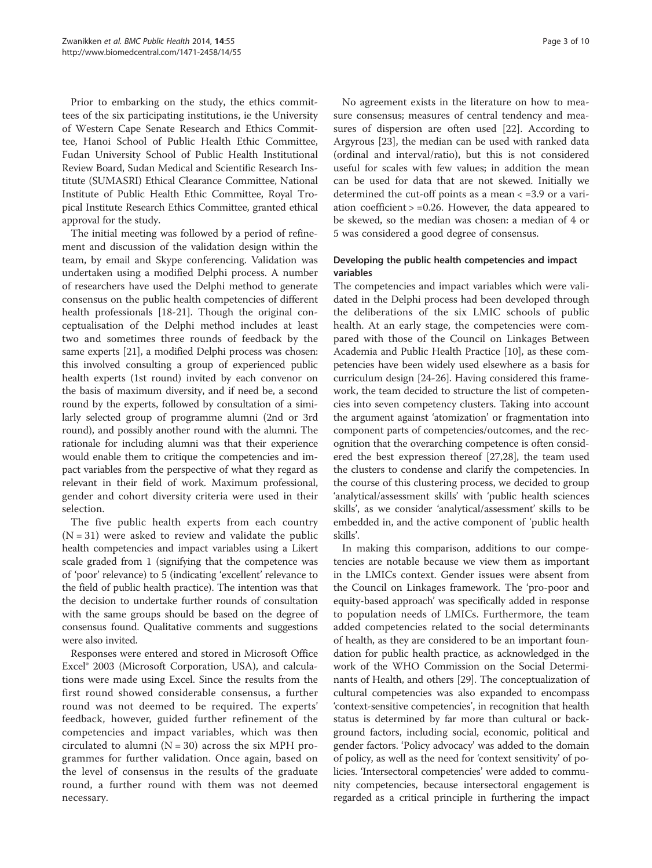Prior to embarking on the study, the ethics committees of the six participating institutions, ie the University of Western Cape Senate Research and Ethics Committee, Hanoi School of Public Health Ethic Committee, Fudan University School of Public Health Institutional Review Board, Sudan Medical and Scientific Research Institute (SUMASRI) Ethical Clearance Committee, National Institute of Public Health Ethic Committee, Royal Tropical Institute Research Ethics Committee, granted ethical approval for the study.

The initial meeting was followed by a period of refinement and discussion of the validation design within the team, by email and Skype conferencing. Validation was undertaken using a modified Delphi process. A number of researchers have used the Delphi method to generate consensus on the public health competencies of different health professionals [[18](#page-9-0)-[21\]](#page-9-0). Though the original conceptualisation of the Delphi method includes at least two and sometimes three rounds of feedback by the same experts [[21](#page-9-0)], a modified Delphi process was chosen: this involved consulting a group of experienced public health experts (1st round) invited by each convenor on the basis of maximum diversity, and if need be, a second round by the experts, followed by consultation of a similarly selected group of programme alumni (2nd or 3rd round), and possibly another round with the alumni. The rationale for including alumni was that their experience would enable them to critique the competencies and impact variables from the perspective of what they regard as relevant in their field of work. Maximum professional, gender and cohort diversity criteria were used in their selection.

The five public health experts from each country  $(N = 31)$  were asked to review and validate the public health competencies and impact variables using a Likert scale graded from 1 (signifying that the competence was of 'poor' relevance) to 5 (indicating 'excellent' relevance to the field of public health practice). The intention was that the decision to undertake further rounds of consultation with the same groups should be based on the degree of consensus found. Qualitative comments and suggestions were also invited.

Responses were entered and stored in Microsoft Office Excel® 2003 (Microsoft Corporation, USA), and calculations were made using Excel. Since the results from the first round showed considerable consensus, a further round was not deemed to be required. The experts' feedback, however, guided further refinement of the competencies and impact variables, which was then circulated to alumni ( $N = 30$ ) across the six MPH programmes for further validation. Once again, based on the level of consensus in the results of the graduate round, a further round with them was not deemed necessary.

No agreement exists in the literature on how to measure consensus; measures of central tendency and measures of dispersion are often used [\[22](#page-9-0)]. According to Argyrous [[23\]](#page-9-0), the median can be used with ranked data (ordinal and interval/ratio), but this is not considered useful for scales with few values; in addition the mean can be used for data that are not skewed. Initially we determined the cut-off points as a mean < =3.9 or a variation coefficient > =0.26. However, the data appeared to be skewed, so the median was chosen: a median of 4 or 5 was considered a good degree of consensus.

## Developing the public health competencies and impact variables

The competencies and impact variables which were validated in the Delphi process had been developed through the deliberations of the six LMIC schools of public health. At an early stage, the competencies were compared with those of the Council on Linkages Between Academia and Public Health Practice [[10](#page-8-0)], as these competencies have been widely used elsewhere as a basis for curriculum design [\[24](#page-9-0)-[26](#page-9-0)]. Having considered this framework, the team decided to structure the list of competencies into seven competency clusters. Taking into account the argument against 'atomization' or fragmentation into component parts of competencies/outcomes, and the recognition that the overarching competence is often considered the best expression thereof [\[27,28](#page-9-0)], the team used the clusters to condense and clarify the competencies. In the course of this clustering process, we decided to group 'analytical/assessment skills' with 'public health sciences skills', as we consider 'analytical/assessment' skills to be embedded in, and the active component of 'public health skills'.

In making this comparison, additions to our competencies are notable because we view them as important in the LMICs context. Gender issues were absent from the Council on Linkages framework. The 'pro-poor and equity-based approach' was specifically added in response to population needs of LMICs. Furthermore, the team added competencies related to the social determinants of health, as they are considered to be an important foundation for public health practice, as acknowledged in the work of the WHO Commission on the Social Determinants of Health, and others [[29](#page-9-0)]. The conceptualization of cultural competencies was also expanded to encompass 'context-sensitive competencies', in recognition that health status is determined by far more than cultural or background factors, including social, economic, political and gender factors. 'Policy advocacy' was added to the domain of policy, as well as the need for 'context sensitivity' of policies. 'Intersectoral competencies' were added to community competencies, because intersectoral engagement is regarded as a critical principle in furthering the impact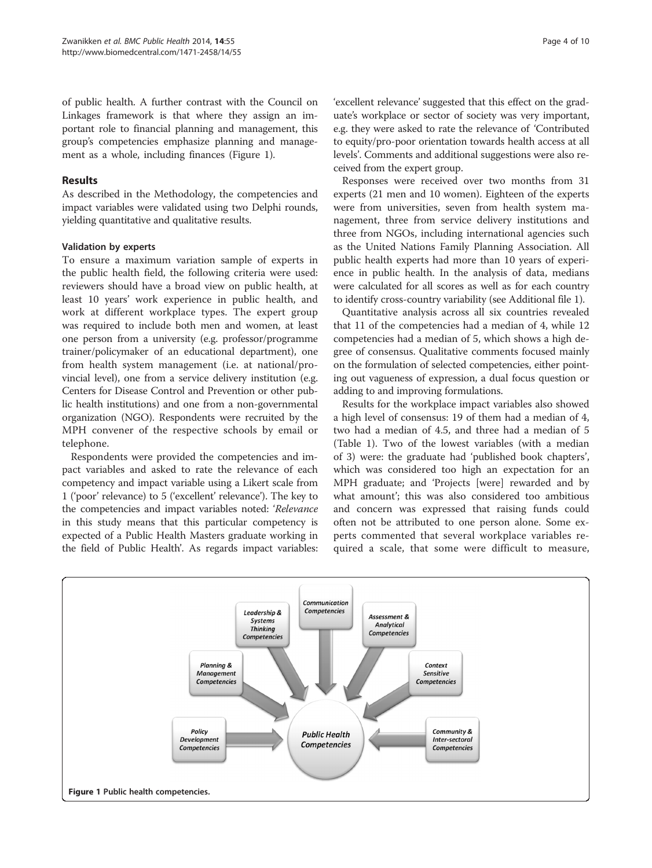of public health. A further contrast with the Council on Linkages framework is that where they assign an important role to financial planning and management, this group's competencies emphasize planning and management as a whole, including finances (Figure 1).

## Results

As described in the Methodology, the competencies and impact variables were validated using two Delphi rounds, yielding quantitative and qualitative results.

## Validation by experts

To ensure a maximum variation sample of experts in the public health field, the following criteria were used: reviewers should have a broad view on public health, at least 10 years' work experience in public health, and work at different workplace types. The expert group was required to include both men and women, at least one person from a university (e.g. professor/programme trainer/policymaker of an educational department), one from health system management (i.e. at national/provincial level), one from a service delivery institution (e.g. Centers for Disease Control and Prevention or other public health institutions) and one from a non-governmental organization (NGO). Respondents were recruited by the MPH convener of the respective schools by email or telephone.

Respondents were provided the competencies and impact variables and asked to rate the relevance of each competency and impact variable using a Likert scale from 1 ('poor' relevance) to 5 ('excellent' relevance'). The key to the competencies and impact variables noted: 'Relevance in this study means that this particular competency is expected of a Public Health Masters graduate working in the field of Public Health'. As regards impact variables:

'excellent relevance' suggested that this effect on the graduate's workplace or sector of society was very important, e.g. they were asked to rate the relevance of 'Contributed to equity/pro-poor orientation towards health access at all levels'. Comments and additional suggestions were also received from the expert group.

Responses were received over two months from 31 experts (21 men and 10 women). Eighteen of the experts were from universities, seven from health system management, three from service delivery institutions and three from NGOs, including international agencies such as the United Nations Family Planning Association. All public health experts had more than 10 years of experience in public health. In the analysis of data, medians were calculated for all scores as well as for each country to identify cross-country variability (see Additional file [1](#page-8-0)).

Quantitative analysis across all six countries revealed that 11 of the competencies had a median of 4, while 12 competencies had a median of 5, which shows a high degree of consensus. Qualitative comments focused mainly on the formulation of selected competencies, either pointing out vagueness of expression, a dual focus question or adding to and improving formulations.

Results for the workplace impact variables also showed a high level of consensus: 19 of them had a median of 4, two had a median of 4.5, and three had a median of 5 (Table [1\)](#page-4-0). Two of the lowest variables (with a median of 3) were: the graduate had 'published book chapters', which was considered too high an expectation for an MPH graduate; and 'Projects [were] rewarded and by what amount'; this was also considered too ambitious and concern was expressed that raising funds could often not be attributed to one person alone. Some experts commented that several workplace variables required a scale, that some were difficult to measure,

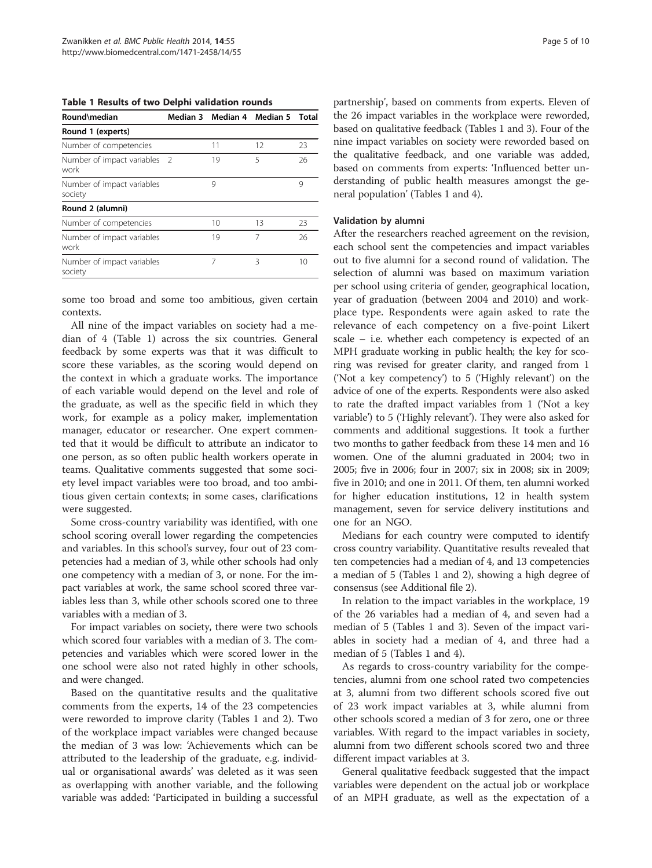<span id="page-4-0"></span>Table 1 Results of two Delphi validation rounds

| Round\median                          |     |         | Median 3 Median 4 Median 5 | Total |
|---------------------------------------|-----|---------|----------------------------|-------|
| Round 1 (experts)                     |     |         |                            |       |
| Number of competencies                |     | 11      | 12                         | 23    |
| Number of impact variables<br>work    | - 2 | 19      | 5                          | 26    |
| Number of impact variables<br>society |     | 9       |                            | 9     |
| Round 2 (alumni)                      |     |         |                            |       |
| Number of competencies                |     | $10 \,$ | 13                         | 23    |
| Number of impact variables<br>work    |     | 19      | 7                          | 26    |
| Number of impact variables<br>society |     | 7       | Β                          | 10    |

some too broad and some too ambitious, given certain contexts.

All nine of the impact variables on society had a median of 4 (Table 1) across the six countries. General feedback by some experts was that it was difficult to score these variables, as the scoring would depend on the context in which a graduate works. The importance of each variable would depend on the level and role of the graduate, as well as the specific field in which they work, for example as a policy maker, implementation manager, educator or researcher. One expert commented that it would be difficult to attribute an indicator to one person, as so often public health workers operate in teams. Qualitative comments suggested that some society level impact variables were too broad, and too ambitious given certain contexts; in some cases, clarifications were suggested.

Some cross-country variability was identified, with one school scoring overall lower regarding the competencies and variables. In this school's survey, four out of 23 competencies had a median of 3, while other schools had only one competency with a median of 3, or none. For the impact variables at work, the same school scored three variables less than 3, while other schools scored one to three variables with a median of 3.

For impact variables on society, there were two schools which scored four variables with a median of 3. The competencies and variables which were scored lower in the one school were also not rated highly in other schools, and were changed.

Based on the quantitative results and the qualitative comments from the experts, 14 of the 23 competencies were reworded to improve clarity (Tables 1 and [2](#page-5-0)). Two of the workplace impact variables were changed because the median of 3 was low: 'Achievements which can be attributed to the leadership of the graduate, e.g. individual or organisational awards' was deleted as it was seen as overlapping with another variable, and the following variable was added: 'Participated in building a successful

partnership', based on comments from experts. Eleven of the 26 impact variables in the workplace were reworded, based on qualitative feedback (Tables 1 and [3\)](#page-6-0). Four of the nine impact variables on society were reworded based on the qualitative feedback, and one variable was added, based on comments from experts: 'Influenced better understanding of public health measures amongst the general population' (Tables 1 and [4\)](#page-6-0).

#### Validation by alumni

After the researchers reached agreement on the revision, each school sent the competencies and impact variables out to five alumni for a second round of validation. The selection of alumni was based on maximum variation per school using criteria of gender, geographical location, year of graduation (between 2004 and 2010) and workplace type. Respondents were again asked to rate the relevance of each competency on a five-point Likert scale – i.e. whether each competency is expected of an MPH graduate working in public health; the key for scoring was revised for greater clarity, and ranged from 1 ('Not a key competency') to 5 ('Highly relevant') on the advice of one of the experts. Respondents were also asked to rate the drafted impact variables from 1 ('Not a key variable') to 5 ('Highly relevant'). They were also asked for comments and additional suggestions. It took a further two months to gather feedback from these 14 men and 16 women. One of the alumni graduated in 2004; two in 2005; five in 2006; four in 2007; six in 2008; six in 2009; five in 2010; and one in 2011. Of them, ten alumni worked for higher education institutions, 12 in health system management, seven for service delivery institutions and one for an NGO.

Medians for each country were computed to identify cross country variability. Quantitative results revealed that ten competencies had a median of 4, and 13 competencies a median of 5 (Tables 1 and [2\)](#page-5-0), showing a high degree of consensus (see Additional file [2](#page-8-0)).

In relation to the impact variables in the workplace, 19 of the 26 variables had a median of 4, and seven had a median of 5 (Tables 1 and [3\)](#page-6-0). Seven of the impact variables in society had a median of 4, and three had a median of 5 (Tables 1 and [4](#page-6-0)).

As regards to cross-country variability for the competencies, alumni from one school rated two competencies at 3, alumni from two different schools scored five out of 23 work impact variables at 3, while alumni from other schools scored a median of 3 for zero, one or three variables. With regard to the impact variables in society, alumni from two different schools scored two and three different impact variables at 3.

General qualitative feedback suggested that the impact variables were dependent on the actual job or workplace of an MPH graduate, as well as the expectation of a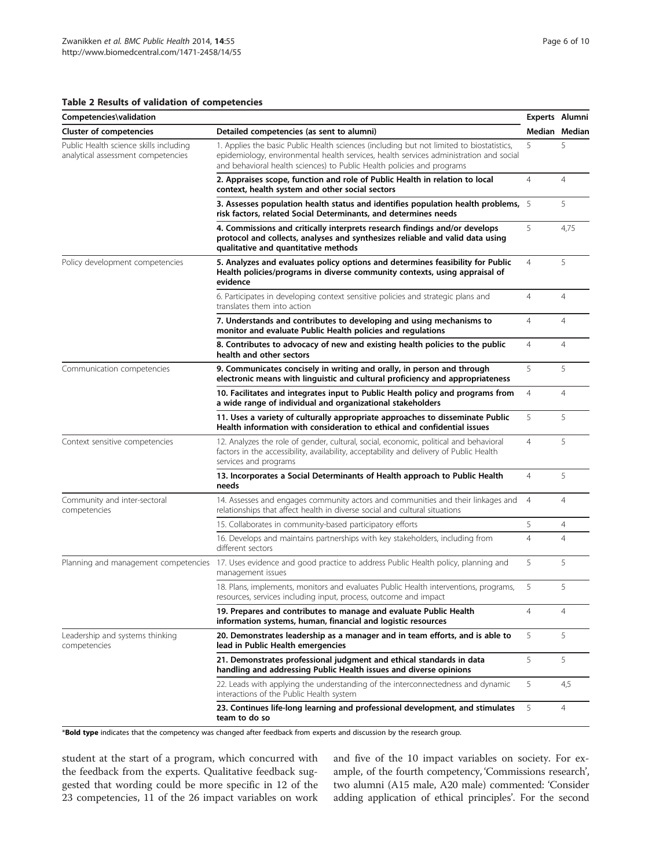## <span id="page-5-0"></span>Table 2 Results of validation of competencies

| Competencies\validation                                                      |                                                                                                                                                                                                                                                              | Experts Alumni | Median Median  |
|------------------------------------------------------------------------------|--------------------------------------------------------------------------------------------------------------------------------------------------------------------------------------------------------------------------------------------------------------|----------------|----------------|
| <b>Cluster of competencies</b>                                               | Detailed competencies (as sent to alumni)                                                                                                                                                                                                                    |                |                |
| Public Health science skills including<br>analytical assessment competencies | 1. Applies the basic Public Health sciences (including but not limited to biostatistics,<br>epidemiology, environmental health services, health services administration and social<br>and behavioral health sciences) to Public Health policies and programs | 5              | 5              |
|                                                                              | 2. Appraises scope, function and role of Public Health in relation to local<br>context, health system and other social sectors                                                                                                                               | $\overline{4}$ | $\overline{4}$ |
|                                                                              | 3. Assesses population health status and identifies population health problems, 5<br>risk factors, related Social Determinants, and determines needs                                                                                                         |                | 5              |
|                                                                              | 4. Commissions and critically interprets research findings and/or develops<br>protocol and collects, analyses and synthesizes reliable and valid data using<br>qualitative and quantitative methods                                                          | 5              | 4,75           |
| Policy development competencies                                              | 5. Analyzes and evaluates policy options and determines feasibility for Public<br>Health policies/programs in diverse community contexts, using appraisal of<br>evidence                                                                                     | $\overline{4}$ | 5              |
|                                                                              | 6. Participates in developing context sensitive policies and strategic plans and<br>translates them into action                                                                                                                                              | $\overline{4}$ | $\overline{4}$ |
|                                                                              | 7. Understands and contributes to developing and using mechanisms to<br>monitor and evaluate Public Health policies and regulations                                                                                                                          | $\overline{4}$ | 4              |
|                                                                              | 8. Contributes to advocacy of new and existing health policies to the public<br>health and other sectors                                                                                                                                                     |                | 4              |
| Communication competencies                                                   | 9. Communicates concisely in writing and orally, in person and through<br>electronic means with linguistic and cultural proficiency and appropriateness                                                                                                      | 5              | 5              |
|                                                                              | 10. Facilitates and integrates input to Public Health policy and programs from<br>a wide range of individual and organizational stakeholders                                                                                                                 | 4              | 4              |
|                                                                              | 11. Uses a variety of culturally appropriate approaches to disseminate Public<br>Health information with consideration to ethical and confidential issues                                                                                                    | 5              | 5              |
| Context sensitive competencies                                               | 12. Analyzes the role of gender, cultural, social, economic, political and behavioral<br>factors in the accessibility, availability, acceptability and delivery of Public Health<br>services and programs                                                    | $\overline{4}$ | 5              |
|                                                                              | 13. Incorporates a Social Determinants of Health approach to Public Health<br>needs                                                                                                                                                                          | $\overline{4}$ | 5              |
| Community and inter-sectoral<br>competencies                                 | 14. Assesses and engages community actors and communities and their linkages and<br>relationships that affect health in diverse social and cultural situations                                                                                               | $\overline{4}$ | 4              |
|                                                                              | 15. Collaborates in community-based participatory efforts                                                                                                                                                                                                    | 5              | $\overline{4}$ |
|                                                                              | 16. Develops and maintains partnerships with key stakeholders, including from<br>different sectors                                                                                                                                                           | $\overline{4}$ | $\overline{4}$ |
| Planning and management competencies                                         | 17. Uses evidence and good practice to address Public Health policy, planning and<br>management issues                                                                                                                                                       | 5              | 5              |
|                                                                              | 18. Plans, implements, monitors and evaluates Public Health interventions, programs,<br>resources, services including input, process, outcome and impact                                                                                                     | 5              | 5              |
|                                                                              | 19. Prepares and contributes to manage and evaluate Public Health<br>information systems, human, financial and logistic resources                                                                                                                            | $\overline{4}$ | $\overline{4}$ |
| Leadership and systems thinking<br>competencies                              | 20. Demonstrates leadership as a manager and in team efforts, and is able to<br>lead in Public Health emergencies                                                                                                                                            | 5              | 5              |
|                                                                              | 21. Demonstrates professional judgment and ethical standards in data<br>handling and addressing Public Health issues and diverse opinions                                                                                                                    | 5              | 5              |
|                                                                              | 22. Leads with applying the understanding of the interconnectedness and dynamic<br>interactions of the Public Health system                                                                                                                                  | 5              | 4,5            |
|                                                                              | 23. Continues life-long learning and professional development, and stimulates<br>team to do so                                                                                                                                                               | 5              | 4              |

\*Bold type indicates that the competency was changed after feedback from experts and discussion by the research group.

student at the start of a program, which concurred with the feedback from the experts. Qualitative feedback suggested that wording could be more specific in 12 of the 23 competencies, 11 of the 26 impact variables on work

and five of the 10 impact variables on society. For example, of the fourth competency, 'Commissions research', two alumni (A15 male, A20 male) commented: 'Consider adding application of ethical principles'. For the second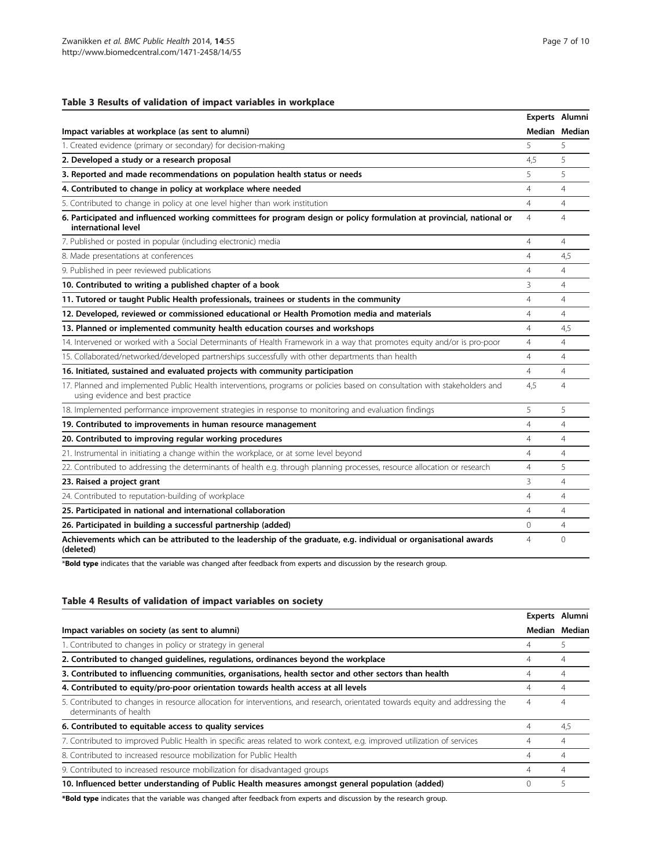## <span id="page-6-0"></span>Table 3 Results of validation of impact variables in workplace

|                                                                                                                                                               |                | Experts Alumni |
|---------------------------------------------------------------------------------------------------------------------------------------------------------------|----------------|----------------|
| Impact variables at workplace (as sent to alumni)                                                                                                             |                | Median Median  |
| 1. Created evidence (primary or secondary) for decision-making                                                                                                | 5              | 5              |
| 2. Developed a study or a research proposal                                                                                                                   | 4.5            | 5              |
| 3. Reported and made recommendations on population health status or needs                                                                                     | 5              | 5              |
| 4. Contributed to change in policy at workplace where needed                                                                                                  | $\overline{4}$ | $\overline{4}$ |
| 5. Contributed to change in policy at one level higher than work institution                                                                                  | $\overline{4}$ | $\overline{4}$ |
| 6. Participated and influenced working committees for program design or policy formulation at provincial, national or<br>international level                  | $\overline{4}$ | 4              |
| 7. Published or posted in popular (including electronic) media                                                                                                | $\overline{4}$ | 4              |
| 8. Made presentations at conferences                                                                                                                          | $\overline{4}$ | 4,5            |
| 9. Published in peer reviewed publications                                                                                                                    | $\overline{4}$ | $\overline{4}$ |
| 10. Contributed to writing a published chapter of a book                                                                                                      | 3              | $\overline{4}$ |
| 11. Tutored or taught Public Health professionals, trainees or students in the community                                                                      |                | 4              |
| 12. Developed, reviewed or commissioned educational or Health Promotion media and materials                                                                   | 4              | $\overline{4}$ |
| 13. Planned or implemented community health education courses and workshops                                                                                   |                | 4,5            |
| 14. Intervened or worked with a Social Determinants of Health Framework in a way that promotes equity and/or is pro-poor                                      | $\overline{4}$ | $\overline{4}$ |
| 15. Collaborated/networked/developed partnerships successfully with other departments than health                                                             | $\overline{4}$ | $\overline{4}$ |
| 16. Initiated, sustained and evaluated projects with community participation                                                                                  | $\overline{4}$ | 4              |
| 17. Planned and implemented Public Health interventions, programs or policies based on consultation with stakeholders and<br>using evidence and best practice | 4,5            | $\overline{4}$ |
| 18. Implemented performance improvement strategies in response to monitoring and evaluation findings                                                          | 5              | 5              |
| 19. Contributed to improvements in human resource management                                                                                                  | $\overline{4}$ | $\overline{4}$ |
| 20. Contributed to improving regular working procedures                                                                                                       | $\overline{4}$ | 4              |
| 21. Instrumental in initiating a change within the workplace, or at some level beyond                                                                         | $\overline{4}$ | $\overline{4}$ |
| 22. Contributed to addressing the determinants of health e.g. through planning processes, resource allocation or research                                     | $\overline{4}$ | 5              |
| 23. Raised a project grant                                                                                                                                    | 3              | $\overline{4}$ |
| 24. Contributed to reputation-building of workplace                                                                                                           | $\overline{4}$ | $\overline{4}$ |
| 25. Participated in national and international collaboration                                                                                                  | $\overline{4}$ | 4              |
| 26. Participated in building a successful partnership (added)                                                                                                 | $\Omega$       | 4              |
| Achievements which can be attributed to the leadership of the graduate, e.g. individual or organisational awards<br>(deleted)                                 | $\overline{4}$ | $\Omega$       |

\*Bold type indicates that the variable was changed after feedback from experts and discussion by the research group.

## Table 4 Results of validation of impact variables on society

|                                                                                                                                                          | Experts Alumni |               |
|----------------------------------------------------------------------------------------------------------------------------------------------------------|----------------|---------------|
| Impact variables on society (as sent to alumni)                                                                                                          |                | Median Median |
| 1. Contributed to changes in policy or strategy in general                                                                                               | 4              |               |
| 2. Contributed to changed guidelines, regulations, ordinances beyond the workplace                                                                       | 4              | 4             |
| 3. Contributed to influencing communities, organisations, health sector and other sectors than health                                                    | 4              | 4             |
| 4. Contributed to equity/pro-poor orientation towards health access at all levels                                                                        | 4              | 4             |
| 5. Contributed to changes in resource allocation for interventions, and research, orientated towards equity and addressing the<br>determinants of health | 4              | 4             |
| 6. Contributed to equitable access to quality services                                                                                                   | 4              | 4,5           |
| 7. Contributed to improved Public Health in specific areas related to work context, e.g. improved utilization of services                                | 4              | 4             |
| 8. Contributed to increased resource mobilization for Public Health                                                                                      | 4              | 4             |
| 9. Contributed to increased resource mobilization for disadvantaged groups                                                                               | 4              | 4             |
| 10. Influenced better understanding of Public Health measures amongst general population (added)                                                         | $\Omega$       |               |

\*Bold type indicates that the variable was changed after feedback from experts and discussion by the research group.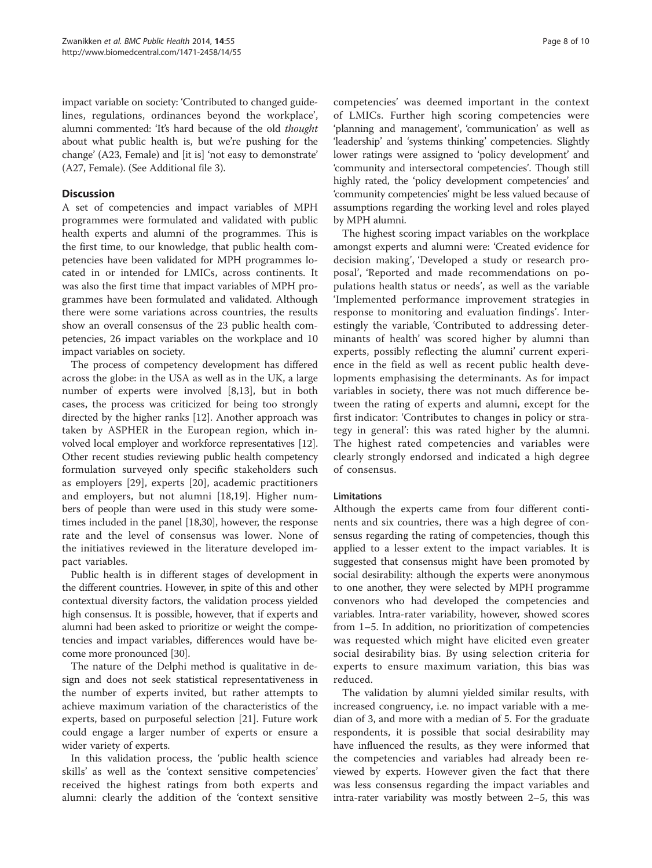impact variable on society: 'Contributed to changed guidelines, regulations, ordinances beyond the workplace', alumni commented: 'It's hard because of the old thought about what public health is, but we're pushing for the change' (A23, Female) and [it is] 'not easy to demonstrate' (A27, Female). (See Additional file [3](#page-8-0)).

## **Discussion**

A set of competencies and impact variables of MPH programmes were formulated and validated with public health experts and alumni of the programmes. This is the first time, to our knowledge, that public health competencies have been validated for MPH programmes located in or intended for LMICs, across continents. It was also the first time that impact variables of MPH programmes have been formulated and validated. Although there were some variations across countries, the results show an overall consensus of the 23 public health competencies, 26 impact variables on the workplace and 10 impact variables on society.

The process of competency development has differed across the globe: in the USA as well as in the UK, a large number of experts were involved [\[8](#page-8-0)[,13](#page-9-0)], but in both cases, the process was criticized for being too strongly directed by the higher ranks [\[12](#page-9-0)]. Another approach was taken by ASPHER in the European region, which involved local employer and workforce representatives [[12](#page-9-0)]. Other recent studies reviewing public health competency formulation surveyed only specific stakeholders such as employers [[29\]](#page-9-0), experts [[20\]](#page-9-0), academic practitioners and employers, but not alumni [\[18](#page-9-0),[19\]](#page-9-0). Higher numbers of people than were used in this study were sometimes included in the panel [\[18,30\]](#page-9-0), however, the response rate and the level of consensus was lower. None of the initiatives reviewed in the literature developed impact variables.

Public health is in different stages of development in the different countries. However, in spite of this and other contextual diversity factors, the validation process yielded high consensus. It is possible, however, that if experts and alumni had been asked to prioritize or weight the competencies and impact variables, differences would have become more pronounced [[30](#page-9-0)].

The nature of the Delphi method is qualitative in design and does not seek statistical representativeness in the number of experts invited, but rather attempts to achieve maximum variation of the characteristics of the experts, based on purposeful selection [\[21\]](#page-9-0). Future work could engage a larger number of experts or ensure a wider variety of experts.

In this validation process, the 'public health science skills' as well as the 'context sensitive competencies' received the highest ratings from both experts and alumni: clearly the addition of the 'context sensitive

competencies' was deemed important in the context of LMICs. Further high scoring competencies were 'planning and management', 'communication' as well as 'leadership' and 'systems thinking' competencies. Slightly lower ratings were assigned to 'policy development' and 'community and intersectoral competencies'. Though still highly rated, the 'policy development competencies' and 'community competencies' might be less valued because of assumptions regarding the working level and roles played by MPH alumni.

The highest scoring impact variables on the workplace amongst experts and alumni were: 'Created evidence for decision making', 'Developed a study or research proposal', 'Reported and made recommendations on populations health status or needs', as well as the variable 'Implemented performance improvement strategies in response to monitoring and evaluation findings'. Interestingly the variable, 'Contributed to addressing determinants of health' was scored higher by alumni than experts, possibly reflecting the alumni' current experience in the field as well as recent public health developments emphasising the determinants. As for impact variables in society, there was not much difference between the rating of experts and alumni, except for the first indicator: 'Contributes to changes in policy or strategy in general': this was rated higher by the alumni. The highest rated competencies and variables were clearly strongly endorsed and indicated a high degree of consensus.

## **Limitations**

Although the experts came from four different continents and six countries, there was a high degree of consensus regarding the rating of competencies, though this applied to a lesser extent to the impact variables. It is suggested that consensus might have been promoted by social desirability: although the experts were anonymous to one another, they were selected by MPH programme convenors who had developed the competencies and variables. Intra-rater variability, however, showed scores from 1–5. In addition, no prioritization of competencies was requested which might have elicited even greater social desirability bias. By using selection criteria for experts to ensure maximum variation, this bias was reduced.

The validation by alumni yielded similar results, with increased congruency, i.e. no impact variable with a median of 3, and more with a median of 5. For the graduate respondents, it is possible that social desirability may have influenced the results, as they were informed that the competencies and variables had already been reviewed by experts. However given the fact that there was less consensus regarding the impact variables and intra-rater variability was mostly between 2–5, this was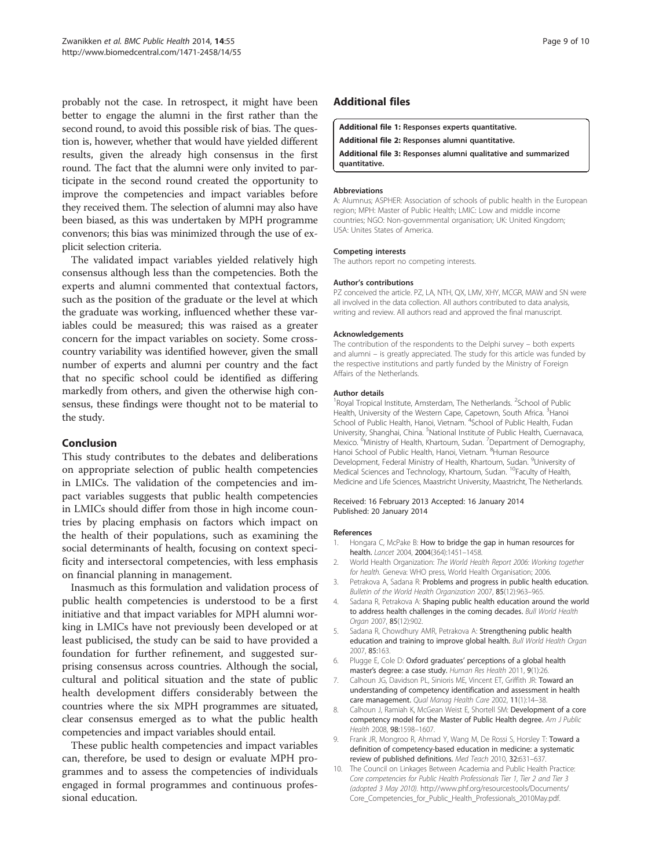<span id="page-8-0"></span>probably not the case. In retrospect, it might have been better to engage the alumni in the first rather than the second round, to avoid this possible risk of bias. The question is, however, whether that would have yielded different results, given the already high consensus in the first round. The fact that the alumni were only invited to participate in the second round created the opportunity to improve the competencies and impact variables before they received them. The selection of alumni may also have been biased, as this was undertaken by MPH programme convenors; this bias was minimized through the use of explicit selection criteria.

The validated impact variables yielded relatively high consensus although less than the competencies. Both the experts and alumni commented that contextual factors, such as the position of the graduate or the level at which the graduate was working, influenced whether these variables could be measured; this was raised as a greater concern for the impact variables on society. Some crosscountry variability was identified however, given the small number of experts and alumni per country and the fact that no specific school could be identified as differing markedly from others, and given the otherwise high consensus, these findings were thought not to be material to the study.

## Conclusion

This study contributes to the debates and deliberations on appropriate selection of public health competencies in LMICs. The validation of the competencies and impact variables suggests that public health competencies in LMICs should differ from those in high income countries by placing emphasis on factors which impact on the health of their populations, such as examining the social determinants of health, focusing on context specificity and intersectoral competencies, with less emphasis on financial planning in management.

Inasmuch as this formulation and validation process of public health competencies is understood to be a first initiative and that impact variables for MPH alumni working in LMICs have not previously been developed or at least publicised, the study can be said to have provided a foundation for further refinement, and suggested surprising consensus across countries. Although the social, cultural and political situation and the state of public health development differs considerably between the countries where the six MPH programmes are situated, clear consensus emerged as to what the public health competencies and impact variables should entail.

These public health competencies and impact variables can, therefore, be used to design or evaluate MPH programmes and to assess the competencies of individuals engaged in formal programmes and continuous professional education.

## Additional files

[Additional file 1:](http://www.biomedcentral.com/content/supplementary/1471-2458-14-55-S1.xls) Responses experts quantitative.

[Additional file 2:](http://www.biomedcentral.com/content/supplementary/1471-2458-14-55-S2.xls) Responses alumni quantitative.

[Additional file 3:](http://www.biomedcentral.com/content/supplementary/1471-2458-14-55-S3.docx) Responses alumni qualitative and summarized quantitative.

#### Abbreviations

A: Alumnus; ASPHER: Association of schools of public health in the European region; MPH: Master of Public Health; LMIC: Low and middle income countries; NGO: Non-governmental organisation; UK: United Kingdom; USA: Unites States of America.

#### Competing interests

The authors report no competing interests.

#### Author's contributions

PZ conceived the article. PZ, LA, NTH, QX, LMV, XHY, MCGR, MAW and SN were all involved in the data collection. All authors contributed to data analysis, writing and review. All authors read and approved the final manuscript.

#### Acknowledgements

The contribution of the respondents to the Delphi survey – both experts and alumni – is greatly appreciated. The study for this article was funded by the respective institutions and partly funded by the Ministry of Foreign Affairs of the Netherlands.

#### Author details

<sup>1</sup> Royal Tropical Institute, Amsterdam, The Netherlands. <sup>2</sup> School of Public Health, University of the Western Cape, Capetown, South Africa. <sup>3</sup>Hanoi School of Public Health, Hanoi, Vietnam. <sup>4</sup>School of Public Health, Fudan University, Shanghai, China. <sup>5</sup>National Institute of Public Health, Cuernavaca Mexico. <sup>6</sup>Ministry of Health, Khartoum, Sudan. <sup>7</sup>Department of Demography, Hanoi School of Public Health, Hanoi, Vietnam. <sup>8</sup>Human Resource Development, Federal Ministry of Health, Khartoum, Sudan. <sup>9</sup>University of Medical Sciences and Technology, Khartoum, Sudan. 10Faculty of Health, Medicine and Life Sciences, Maastricht University, Maastricht, The Netherlands.

#### Received: 16 February 2013 Accepted: 16 January 2014 Published: 20 January 2014

#### References

- 1. Hongara C, McPake B: How to bridge the gap in human resources for health. Lancet 2004, 2004(364):1451–1458.
- 2. World Health Organization: The World Health Report 2006: Working together for health. Geneva: WHO press, World Health Organisation; 2006.
- 3. Petrakova A, Sadana R: Problems and progress in public health education. Bulletin of the World Health Organization 2007, 85(12):963–965.
- 4. Sadana R, Petrakova A: Shaping public health education around the world to address health challenges in the coming decades. Bull World Health Organ 2007, 85(12):902.
- 5. Sadana R, Chowdhury AMR, Petrakova A: Strengthening public health education and training to improve global health. Bull World Health Organ 2007, 85:163.
- 6. Plugge E, Cole D: Oxford graduates' perceptions of a global health master's degree: a case study. Human Res Health 2011, 9(1):26.
- 7. Calhoun JG, Davidson PL, Sinioris ME, Vincent ET, Griffith JR: Toward an understanding of competency identification and assessment in health care management. Qual Manag Health Care 2002, 11(1):14–38.
- 8. Calhoun J, Ramiah K, McGean Weist E, Shortell SM: Development of a core competency model for the Master of Public Health degree. Am J Public Health 2008, 98:1598–1607.
- 9. Frank JR, Mongroo R, Ahmad Y, Wang M, De Rossi S, Horsley T: Toward a definition of competency-based education in medicine: a systematic review of published definitions. Med Teach 2010, 32:631–637.
- 10. The Council on Linkages Between Academia and Public Health Practice: Core competencies for Public Health Professionals Tier 1, Tier 2 and Tier 3 (adopted 3 May 2010). [http://www.phf.org/resourcestools/Documents/](http://www.phf.org/resourcestools/Documents/Core_Competencies_for_Public_Health_Professionals_2010May.pdf) [Core\\_Competencies\\_for\\_Public\\_Health\\_Professionals\\_2010May.pdf.](http://www.phf.org/resourcestools/Documents/Core_Competencies_for_Public_Health_Professionals_2010May.pdf)